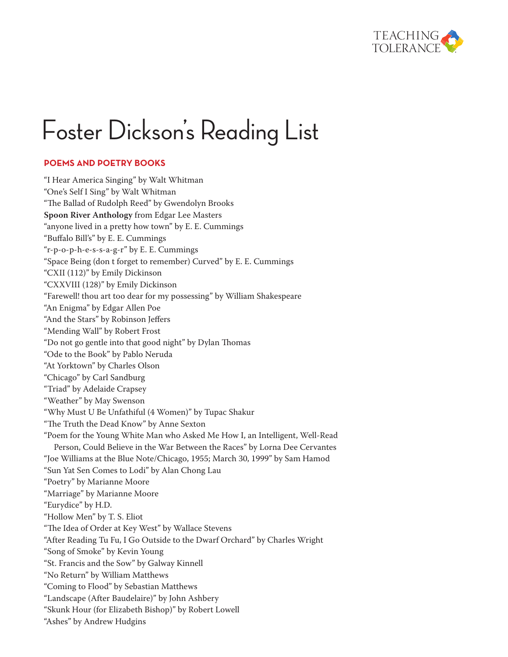

# Foster Dickson's Reading List

## **Poems and Poetry Books**

"I Hear America Singing" by Walt Whitman "One's Self I Sing" by Walt Whitman "The Ballad of Rudolph Reed" by Gwendolyn Brooks **Spoon River Anthology** from Edgar Lee Masters "anyone lived in a pretty how town" by E. E. Cummings "Buffalo Bill's" by E. E. Cummings "r-p-o-p-h-e-s-s-a-g-r" by E. E. Cummings "Space Being (don t forget to remember) Curved" by E. E. Cummings "CXII (112)" by Emily Dickinson "CXXVIII (128)" by Emily Dickinson "Farewell! thou art too dear for my possessing" by William Shakespeare "An Enigma" by Edgar Allen Poe "And the Stars" by Robinson Jeffers "Mending Wall" by Robert Frost "Do not go gentle into that good night" by Dylan Thomas "Ode to the Book" by Pablo Neruda "At Yorktown" by Charles Olson "Chicago" by Carl Sandburg "Triad" by Adelaide Crapsey "Weather" by May Swenson "Why Must U Be Unfathiful (4 Women)" by Tupac Shakur "The Truth the Dead Know" by Anne Sexton "Poem for the Young White Man who Asked Me How I, an Intelligent, Well-Read Person, Could Believe in the War Between the Races" by Lorna Dee Cervantes "Joe Williams at the Blue Note/Chicago, 1955; March 30, 1999" by Sam Hamod "Sun Yat Sen Comes to Lodi" by Alan Chong Lau "Poetry" by Marianne Moore "Marriage" by Marianne Moore "Eurydice" by H.D. "Hollow Men" by T. S. Eliot "The Idea of Order at Key West" by Wallace Stevens "After Reading Tu Fu, I Go Outside to the Dwarf Orchard" by Charles Wright "Song of Smoke" by Kevin Young "St. Francis and the Sow" by Galway Kinnell "No Return" by William Matthews "Coming to Flood" by Sebastian Matthews "Landscape (After Baudelaire)" by John Ashbery "Skunk Hour (for Elizabeth Bishop)" by Robert Lowell "Ashes" by Andrew Hudgins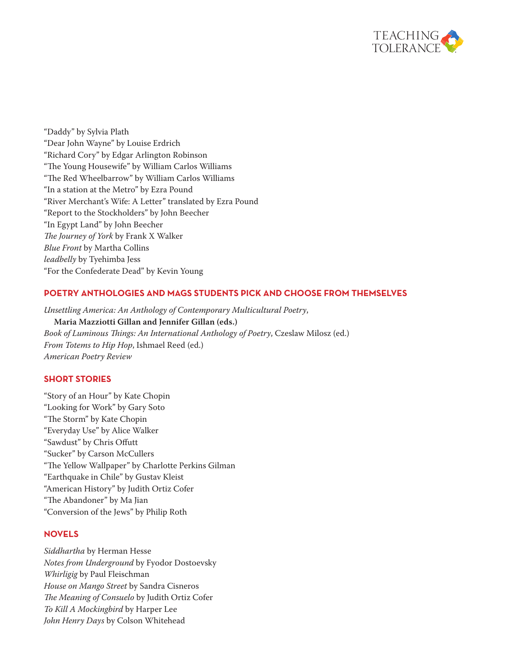

"Daddy" by Sylvia Plath "Dear John Wayne" by Louise Erdrich "Richard Cory" by Edgar Arlington Robinson "The Young Housewife" by William Carlos Williams "The Red Wheelbarrow" by William Carlos Williams "In a station at the Metro" by Ezra Pound "River Merchant's Wife: A Letter" translated by Ezra Pound "Report to the Stockholders" by John Beecher "In Egypt Land" by John Beecher *The Journey of York* by Frank X Walker *Blue Front* by Martha Collins *leadbelly* by Tyehimba Jess "For the Confederate Dead" by Kevin Young

# **Poetry Anthologies and Mags Students Pick and Choose From Themselves**

*Unsettling America: An Anthology of Contemporary Multicultural Poetry*, **Maria Mazziotti Gillan and Jennifer Gillan (eds.)** *Book of Luminous Things: An International Anthology of Poetry*, Czeslaw Milosz (ed.) *From Totems to Hip Hop*, Ishmael Reed (ed.) *American Poetry Review*

#### **Short Stories**

"Story of an Hour" by Kate Chopin "Looking for Work" by Gary Soto "The Storm" by Kate Chopin "Everyday Use" by Alice Walker "Sawdust" by Chris Offutt "Sucker" by Carson McCullers "The Yellow Wallpaper" by Charlotte Perkins Gilman "Earthquake in Chile" by Gustav Kleist "American History" by Judith Ortiz Cofer "The Abandoner" by Ma Jian "Conversion of the Jews" by Philip Roth

#### **Novels**

*Siddhartha* by Herman Hesse *Notes from Underground* by Fyodor Dostoevsky *Whirligig* by Paul Fleischman *House on Mango Street* by Sandra Cisneros *The Meaning of Consuelo* by Judith Ortiz Cofer *To Kill A Mockingbird* by Harper Lee *John Henry Days* by Colson Whitehead